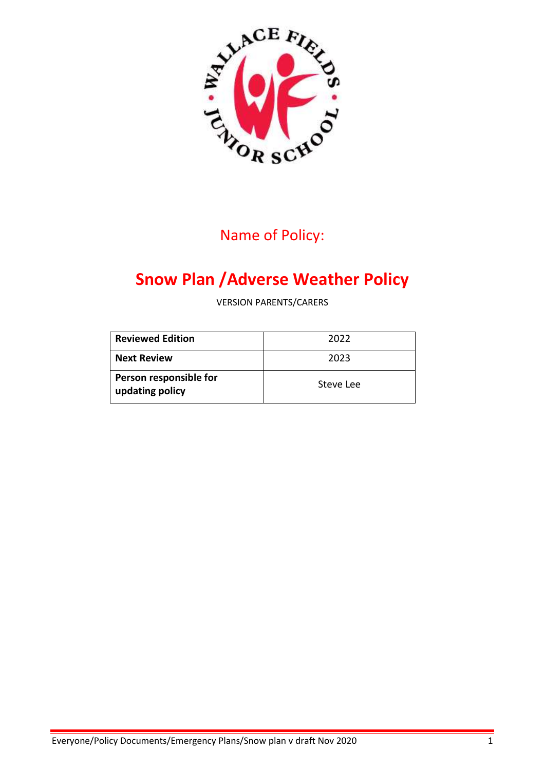

# Name of Policy:

# **Snow Plan /Adverse Weather Policy**

VERSION PARENTS/CARERS

| <b>Reviewed Edition</b>                   | 2022      |
|-------------------------------------------|-----------|
| <b>Next Review</b>                        | 2023      |
| Person responsible for<br>updating policy | Steve Lee |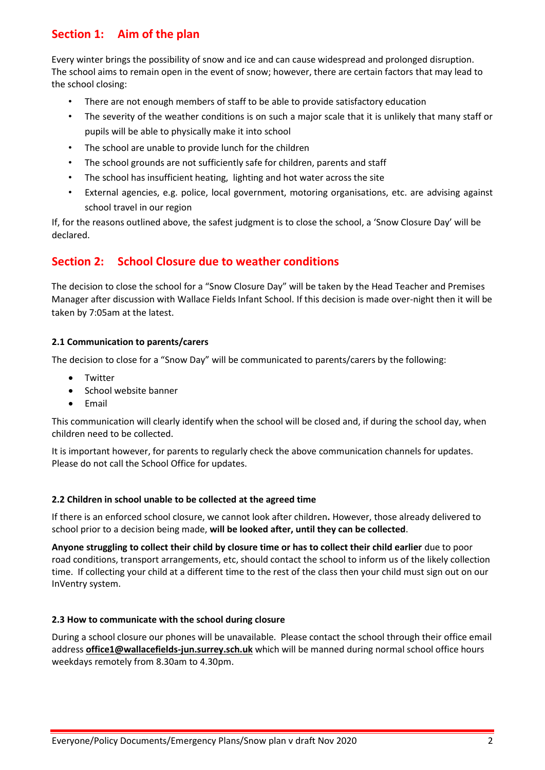### **Section 1: Aim of the plan**

Every winter brings the possibility of snow and ice and can cause widespread and prolonged disruption. The school aims to remain open in the event of snow; however, there are certain factors that may lead to the school closing:

- There are not enough members of staff to be able to provide satisfactory education
- The severity of the weather conditions is on such a major scale that it is unlikely that many staff or pupils will be able to physically make it into school
- The school are unable to provide lunch for the children
- The school grounds are not sufficiently safe for children, parents and staff
- The school has insufficient heating, lighting and hot water across the site
- External agencies, e.g. police, local government, motoring organisations, etc. are advising against school travel in our region

If, for the reasons outlined above, the safest judgment is to close the school, a 'Snow Closure Day' will be declared.

### **Section 2: School Closure due to weather conditions**

The decision to close the school for a "Snow Closure Day" will be taken by the Head Teacher and Premises Manager after discussion with Wallace Fields Infant School. If this decision is made over-night then it will be taken by 7:05am at the latest.

#### **2.1 Communication to parents/carers**

The decision to close for a "Snow Day" will be communicated to parents/carers by the following:

- **•** Twitter
- School website banner
- Email

This communication will clearly identify when the school will be closed and, if during the school day, when children need to be collected.

It is important however, for parents to regularly check the above communication channels for updates. Please do not call the School Office for updates.

#### **2.2 Children in school unable to be collected at the agreed time**

If there is an enforced school closure, we cannot look after children**.** However, those already delivered to school prior to a decision being made, **will be looked after, until they can be collected**.

**Anyone struggling to collect their child by closure time or has to collect their child earlier** due to poor road conditions, transport arrangements, etc, should contact the school to inform us of the likely collection time. If collecting your child at a different time to the rest of the class then your child must sign out on our InVentry system.

#### **2.3 How to communicate with the school during closure**

During a school closure our phones will be unavailable. Please contact the school through their office email address **[office1@wallacefields-jun.surrey.sch.uk](mailto:office1@wallacefileds-jun.surrey.sch.uk)** which will be manned during normal school office hours weekdays remotely from 8.30am to 4.30pm.